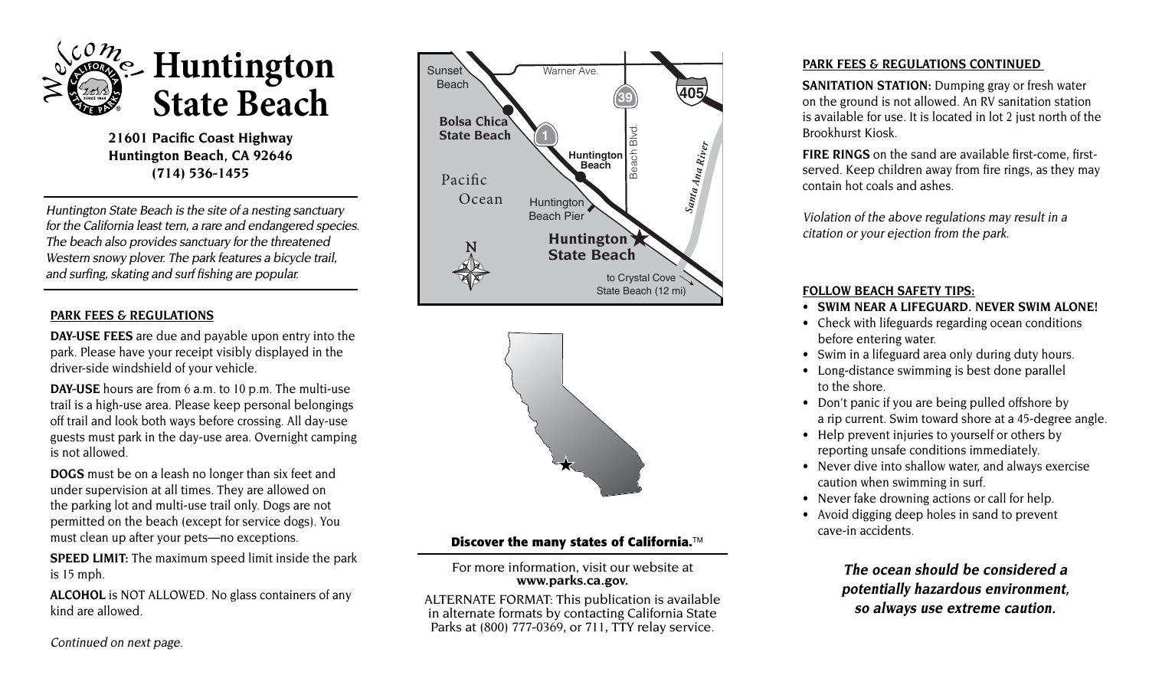

**21601 Pacific Coast Highway Huntington Beach, CA 92646 (714) 536-1455** 

Huntington State Beach is the site of a nesting sanctuary for the California least tern, a rare and endangered species. The beach also provides sanctuary for the threatened Western snowy plover. The park features a bicycle trail, and surfing, skating and surf fishing are popular.

## **PARK FEES & REGULATIONS**

**DAY-USE FEES** are due and payable upon entry into the park. Please have your receipt visibly displayed in the driver-side windshield of your vehicle.

**DAY-USE** hours are from 6 a.m. to 10 p.m. The multi-use trail is a high-use area. Please keep personal belongings off trail and look both ways before crossing. All day-use guests must park in the day-use area. Overnight camping is not allowed.

**DOGS** must be on a leash no longer than six feet and under supervision at all times. They are allowed on the parking lot and multi-use trail only. Dogs are not permitted on the beach (except for service dogs). You must clean up after your pets—no exceptions.

**SPEED LIMIT:** The maximum speed limit inside the park is 15 mph.

**ALCOHOL** is NOT ALLOWED. No glass containers of any kind are allowed.





## **Discover the many states of California.**™

 **www.parks.ca.gov.** For more information, visit our website at

ALTERNATE FORMAT: This publication is available in alternate formats by contacting California State Parks at (800) 777-0369, or 711, TTY relay service.

## **PARK FEES & REGULATIONS CONTINUED**

**SANITATION STATION:** Dumping gray or fresh water on the ground is not allowed. An RV sanitation station is available for use. It is located in lot 2 just north of the Brookhurst Kiosk.

**FIRE RINGS** on the sand are available first-come, firstserved. Keep children away from fire rings, as they may contain hot coals and ashes.

Violation of the above regulations may result in a citation or your ejection from the park.

## **FOLLOW BEACH SAFETY TIPS:**

- **• SWIM NEAR A LIFEGUARD. NEVER SWIM ALONE!**
- Check with lifeguards regarding ocean conditions before entering water.
- Swim in a lifeguard area only during duty hours.
- Long-distance swimming is best done parallel to the shore.
- Don't panic if you are being pulled offshore by a rip current. Swim toward shore at a 45-degree angle.
- Help prevent injuries to yourself or others by reporting unsafe conditions immediately.
- Never dive into shallow water, and always exercise caution when swimming in surf.
- Never fake drowning actions or call for help.
- Avoid digging deep holes in sand to prevent cave-in accidents.

**The ocean should be considered a potentially hazardous environment, so always use extreme caution.** 

Continued on next page.